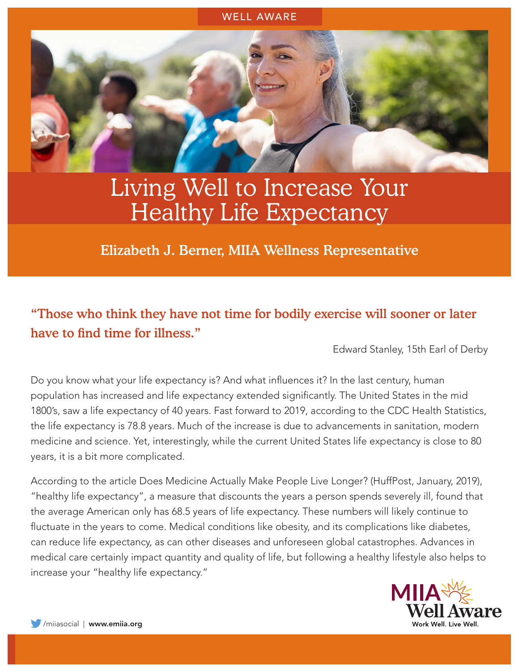#### WELL AWARE



# Living Well to Increase Your Healthy Life Expectancy

Elizabeth J. Berner, MIIA Wellness Representative

## "Those who think they have not time for bodily exercise will sooner or later have to find time for illness."

Edward Stanley, 15th Earl of Derby

Do you know what your life expectancy is? And what influences it? In the last century, human population has increased and life expectancy extended significantly. The United States in the mid 1800's, saw a life expectancy of 40 years. Fast forward to 2019, according to the CDC Health Statistics, the life expectancy is 78.8 years. Much of the increase is due to advancements in sanitation, modern medicine and science. Yet, interestingly, while the current United States life expectancy is close to 80 years, it is a bit more complicated.

According to the article Does Medicine Actually Make People Live Longer? (HuffPost, January, 2019), "healthy life expectancy", a measure that discounts the years a person spends severely ill, found that the average American only has 68.5 years of life expectancy. These numbers will likely continue to fluctuate in the years to come. Medical conditions like obesity, and its complications like diabetes, can reduce life expectancy, as can other diseases and unforeseen global catastrophes. Advances in medical care certainly impact quantity and quality of life, but following a healthy lifestyle also helps to increase your "healthy life expectancy."

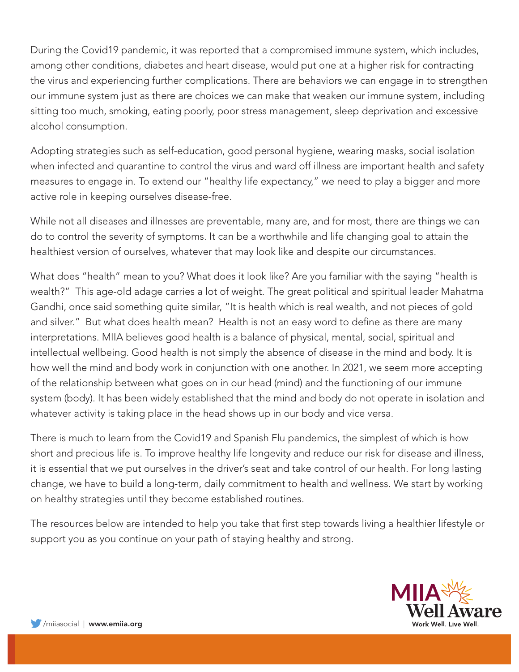During the Covid19 pandemic, it was reported that a compromised immune system, which includes, among other conditions, diabetes and heart disease, would put one at a higher risk for contracting the virus and experiencing further complications. There are behaviors we can engage in to strengthen our immune system just as there are choices we can make that weaken our immune system, including sitting too much, smoking, eating poorly, poor stress management, sleep deprivation and excessive alcohol consumption.

Adopting strategies such as self-education, good personal hygiene, wearing masks, social isolation when infected and quarantine to control the virus and ward off illness are important health and safety measures to engage in. To extend our "healthy life expectancy," we need to play a bigger and more active role in keeping ourselves disease-free.

While not all diseases and illnesses are preventable, many are, and for most, there are things we can do to control the severity of symptoms. It can be a worthwhile and life changing goal to attain the healthiest version of ourselves, whatever that may look like and despite our circumstances.

What does "health" mean to you? What does it look like? Are you familiar with the saying "health is wealth?" This age-old adage carries a lot of weight. The great political and spiritual leader Mahatma Gandhi, once said something quite similar, "It is health which is real wealth, and not pieces of gold and silver." But what does health mean? Health is not an easy word to define as there are many interpretations. MIIA believes good health is a balance of physical, mental, social, spiritual and intellectual wellbeing. Good health is not simply the absence of disease in the mind and body. It is how well the mind and body work in conjunction with one another. In 2021, we seem more accepting of the relationship between what goes on in our head (mind) and the functioning of our immune system (body). It has been widely established that the mind and body do not operate in isolation and whatever activity is taking place in the head shows up in our body and vice versa.

There is much to learn from the Covid19 and Spanish Flu pandemics, the simplest of which is how short and precious life is. To improve healthy life longevity and reduce our risk for disease and illness, it is essential that we put ourselves in the driver's seat and take control of our health. For long lasting change, we have to build a long-term, daily commitment to health and wellness. We start by working on healthy strategies until they become established routines.

The resources below are intended to help you take that first step towards living a healthier lifestyle or support you as you continue on your path of staying healthy and strong.

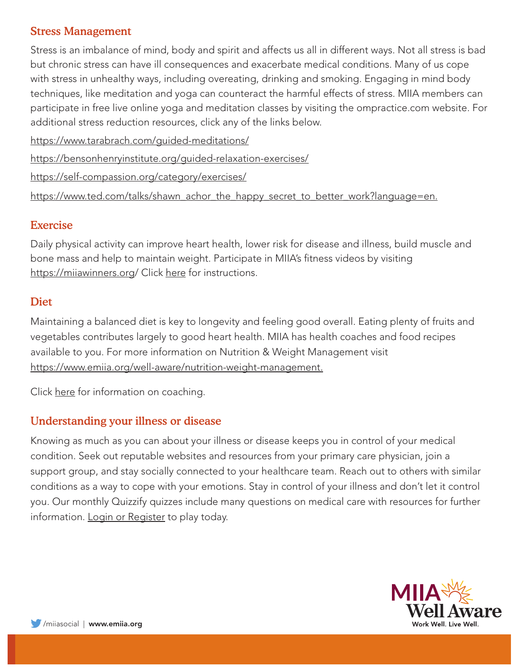#### Stress Management

Stress is an imbalance of mind, body and spirit and affects us all in different ways. Not all stress is bad but chronic stress can have ill consequences and exacerbate medical conditions. Many of us cope with stress in unhealthy ways, including overeating, drinking and smoking. Engaging in mind body techniques, like meditation and yoga can counteract the harmful effects of stress. MIIA members can participate in free live online yoga and meditation classes by visiting the ompractice.com website. For additional stress reduction resources, click any of the links below.

https://www.tarabrach.com/guided-meditations/

https://bensonhenryinstitute.org/guided-relaxation-exercises/

https://self-compassion.org/category/exercises/

https://www.ted.com/talks/shawn\_achor\_the\_happy\_secret\_to\_better\_work?language=en.

#### Exercise

Daily physical activity can improve heart health, lower risk for disease and illness, build muscle and bone mass and help to maintain weight. Participate in MIIA's fitness videos by visiting https://miiawinners.org/ Click [here](https://www.emiia.org/well-aware/resources?category=16) for instructions.

#### Diet

Maintaining a balanced diet is key to longevity and feeling good overall. Eating plenty of fruits and vegetables contributes largely to good heart health. MIIA has health coaches and food recipes available to you. For more information on Nutrition & Weight Management visit https://www.emiia.org/well-aware/nutrition-weight-management.

Click [here](https://www.emiia.org/well-aware/wellness-coaching) for information on coaching.

#### Understanding your illness or disease

Knowing as much as you can about your illness or disease keeps you in control of your medical condition. Seek out reputable websites and resources from your primary care physician, join a support group, and stay socially connected to your healthcare team. Reach out to others with similar conditions as a way to cope with your emotions. Stay in control of your illness and don't let it control you. Our monthly Quizzify quizzes include many questions on medical care with resources for further information. [Login or Register](https://app.quizzify.com/users/sign_up/mma) to play today.